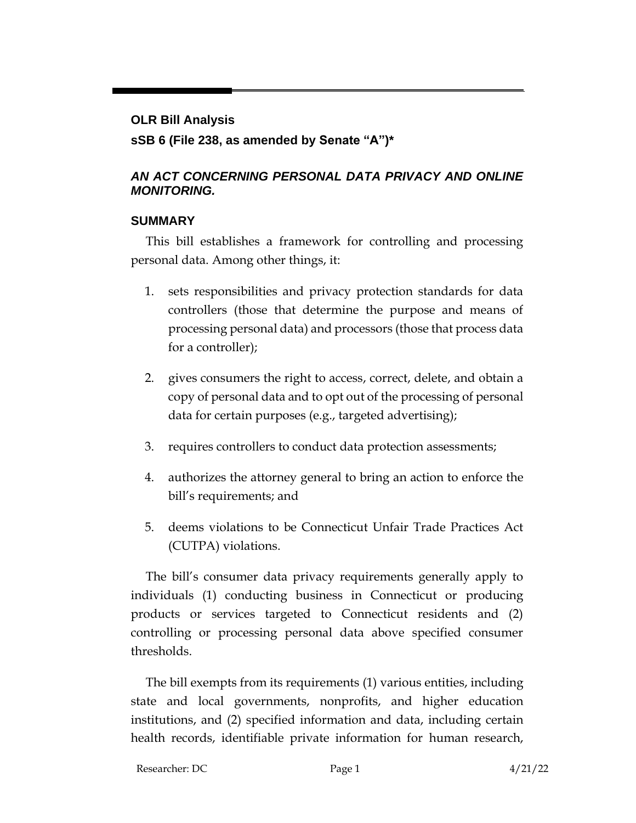#### **OLR Bill Analysis**

**sSB 6 (File 238, as amended by Senate "A")\***

### *AN ACT CONCERNING PERSONAL DATA PRIVACY AND ONLINE MONITORING.*

### **SUMMARY**

This bill establishes a framework for controlling and processing personal data. Among other things, it:

- 1. sets responsibilities and privacy protection standards for data controllers (those that determine the purpose and means of processing personal data) and processors (those that process data for a controller);
- 2. gives consumers the right to access, correct, delete, and obtain a copy of personal data and to opt out of the processing of personal data for certain purposes (e.g., targeted advertising);
- 3. requires controllers to conduct data protection assessments;
- 4. authorizes the attorney general to bring an action to enforce the bill's requirements; and
- 5. deems violations to be Connecticut Unfair Trade Practices Act (CUTPA) violations.

The bill's consumer data privacy requirements generally apply to individuals (1) conducting business in Connecticut or producing products or services targeted to Connecticut residents and (2) controlling or processing personal data above specified consumer thresholds.

The bill exempts from its requirements (1) various entities, including state and local governments, nonprofits, and higher education institutions, and (2) specified information and data, including certain health records, identifiable private information for human research,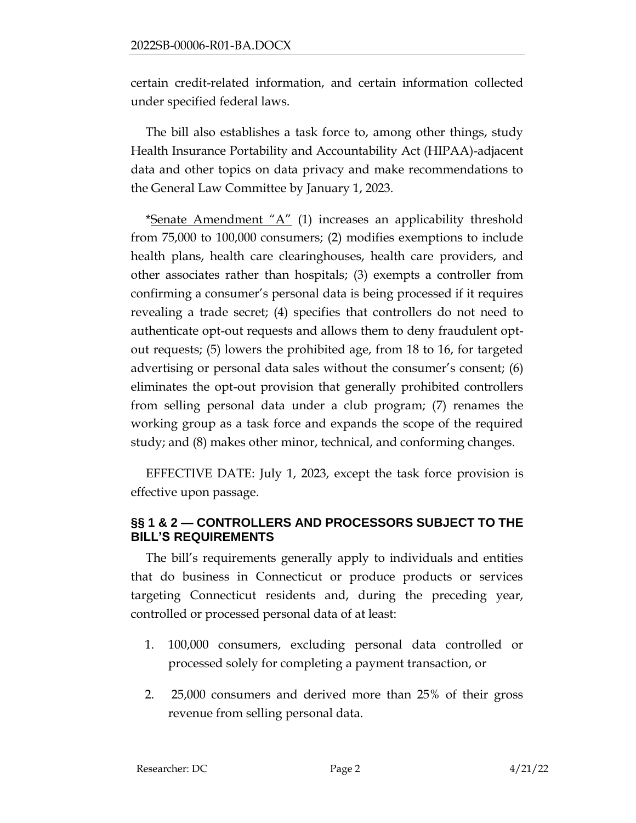certain credit-related information, and certain information collected under specified federal laws.

The bill also establishes a task force to, among other things, study Health Insurance Portability and Accountability Act (HIPAA)-adjacent data and other topics on data privacy and make recommendations to the General Law Committee by January 1, 2023.

\*Senate Amendment " $A$ " (1) increases an applicability threshold from 75,000 to 100,000 consumers; (2) modifies exemptions to include health plans, health care clearinghouses, health care providers, and other associates rather than hospitals; (3) exempts a controller from confirming a consumer's personal data is being processed if it requires revealing a trade secret; (4) specifies that controllers do not need to authenticate opt-out requests and allows them to deny fraudulent optout requests; (5) lowers the prohibited age, from 18 to 16, for targeted advertising or personal data sales without the consumer's consent; (6) eliminates the opt-out provision that generally prohibited controllers from selling personal data under a club program; (7) renames the working group as a task force and expands the scope of the required study; and (8) makes other minor, technical, and conforming changes.

EFFECTIVE DATE: July 1, 2023, except the task force provision is effective upon passage.

## **§§ 1 & 2 — CONTROLLERS AND PROCESSORS SUBJECT TO THE BILL'S REQUIREMENTS**

The bill's requirements generally apply to individuals and entities that do business in Connecticut or produce products or services targeting Connecticut residents and, during the preceding year, controlled or processed personal data of at least:

- 1. 100,000 consumers, excluding personal data controlled or processed solely for completing a payment transaction, or
- 2. 25,000 consumers and derived more than 25% of their gross revenue from selling personal data.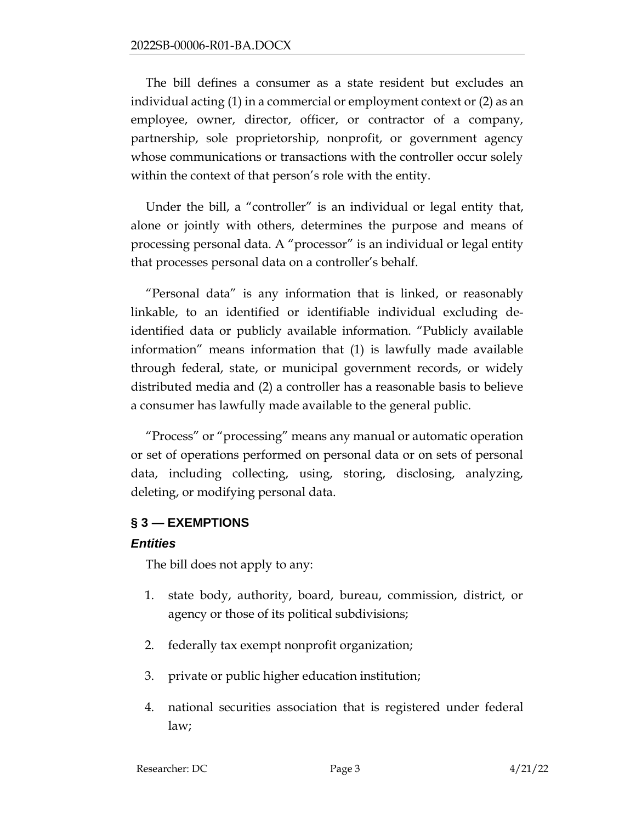The bill defines a consumer as a state resident but excludes an individual acting (1) in a commercial or employment context or (2) as an employee, owner, director, officer, or contractor of a company, partnership, sole proprietorship, nonprofit, or government agency whose communications or transactions with the controller occur solely within the context of that person's role with the entity.

Under the bill, a "controller" is an individual or legal entity that, alone or jointly with others, determines the purpose and means of processing personal data. A "processor" is an individual or legal entity that processes personal data on a controller's behalf.

"Personal data" is any information that is linked, or reasonably linkable, to an identified or identifiable individual excluding deidentified data or publicly available information. "Publicly available information" means information that (1) is lawfully made available through federal, state, or municipal government records, or widely distributed media and (2) a controller has a reasonable basis to believe a consumer has lawfully made available to the general public.

"Process" or "processing" means any manual or automatic operation or set of operations performed on personal data or on sets of personal data, including collecting, using, storing, disclosing, analyzing, deleting, or modifying personal data.

## **§ 3 — EXEMPTIONS**

#### *Entities*

The bill does not apply to any:

- 1. state body, authority, board, bureau, commission, district, or agency or those of its political subdivisions;
- 2. federally tax exempt nonprofit organization;
- 3. private or public higher education institution;
- 4. national securities association that is registered under federal law;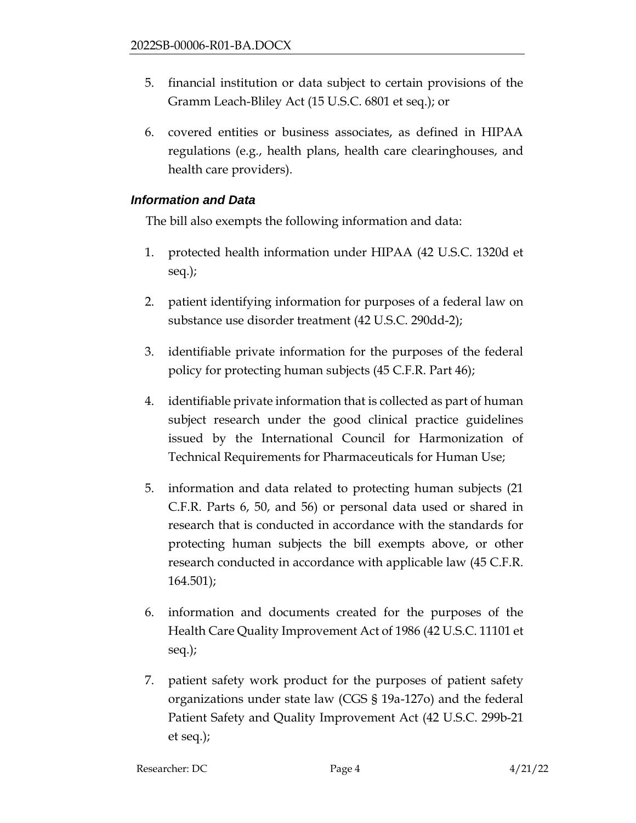- 5. financial institution or data subject to certain provisions of the Gramm Leach-Bliley Act (15 U.S.C. 6801 et seq.); or
- 6. covered entities or business associates, as defined in HIPAA regulations (e.g., health plans, health care clearinghouses, and health care providers).

## *Information and Data*

The bill also exempts the following information and data:

- 1. protected health information under HIPAA (42 U.S.C. 1320d et seq.);
- 2. patient identifying information for purposes of a federal law on substance use disorder treatment (42 U.S.C. 290dd-2);
- 3. identifiable private information for the purposes of the federal policy for protecting human subjects (45 C.F.R. Part 46);
- 4. identifiable private information that is collected as part of human subject research under the good clinical practice guidelines issued by the International Council for Harmonization of Technical Requirements for Pharmaceuticals for Human Use;
- 5. information and data related to protecting human subjects (21 C.F.R. Parts 6, 50, and 56) or personal data used or shared in research that is conducted in accordance with the standards for protecting human subjects the bill exempts above, or other research conducted in accordance with applicable law (45 C.F.R. 164.501);
- 6. information and documents created for the purposes of the Health Care Quality Improvement Act of 1986 (42 U.S.C. 11101 et seq.);
- 7. patient safety work product for the purposes of patient safety organizations under state law (CGS § 19a-127o) and the federal Patient Safety and Quality Improvement Act (42 U.S.C. 299b-21 et seq.);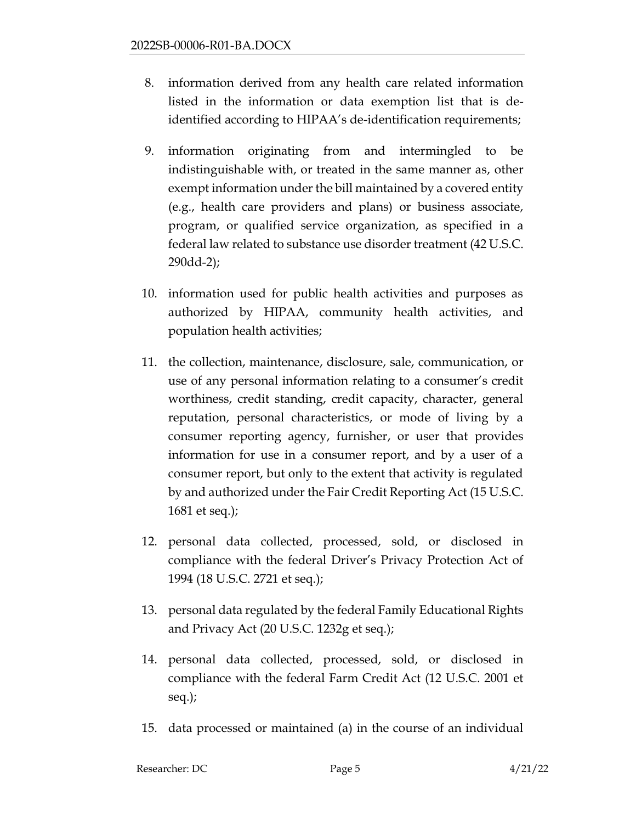- 8. information derived from any health care related information listed in the information or data exemption list that is deidentified according to HIPAA's de-identification requirements;
- 9. information originating from and intermingled to be indistinguishable with, or treated in the same manner as, other exempt information under the bill maintained by a covered entity (e.g., health care providers and plans) or business associate, program, or qualified service organization, as specified in a federal law related to substance use disorder treatment (42 U.S.C. 290dd-2);
- 10. information used for public health activities and purposes as authorized by HIPAA, community health activities, and population health activities;
- 11. the collection, maintenance, disclosure, sale, communication, or use of any personal information relating to a consumer's credit worthiness, credit standing, credit capacity, character, general reputation, personal characteristics, or mode of living by a consumer reporting agency, furnisher, or user that provides information for use in a consumer report, and by a user of a consumer report, but only to the extent that activity is regulated by and authorized under the Fair Credit Reporting Act (15 U.S.C. 1681 et seq.);
- 12. personal data collected, processed, sold, or disclosed in compliance with the federal Driver's Privacy Protection Act of 1994 (18 U.S.C. 2721 et seq.);
- 13. personal data regulated by the federal Family Educational Rights and Privacy Act (20 U.S.C. 1232g et seq.);
- 14. personal data collected, processed, sold, or disclosed in compliance with the federal Farm Credit Act (12 U.S.C. 2001 et seq.);
- 15. data processed or maintained (a) in the course of an individual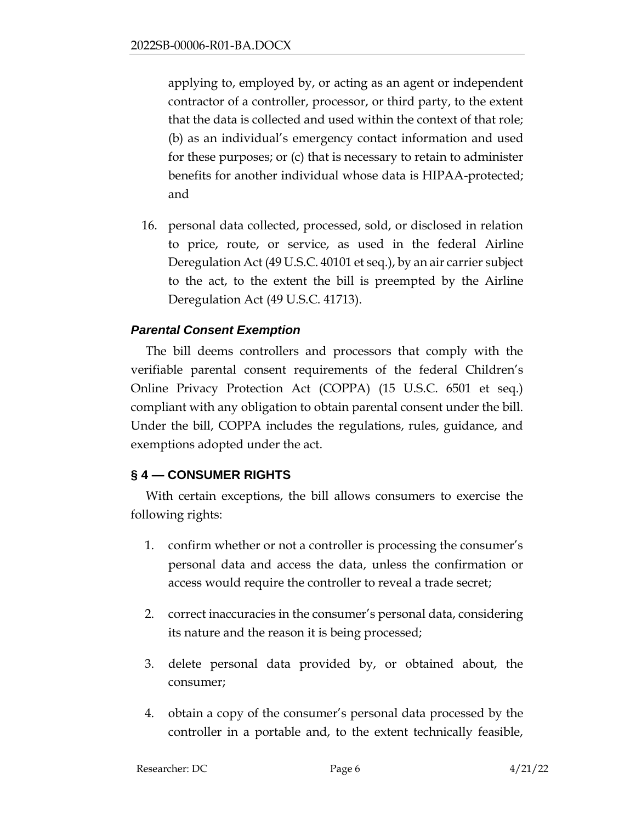applying to, employed by, or acting as an agent or independent contractor of a controller, processor, or third party, to the extent that the data is collected and used within the context of that role; (b) as an individual's emergency contact information and used for these purposes; or (c) that is necessary to retain to administer benefits for another individual whose data is HIPAA-protected; and

16. personal data collected, processed, sold, or disclosed in relation to price, route, or service, as used in the federal Airline Deregulation Act (49 U.S.C. 40101 et seq.), by an air carrier subject to the act, to the extent the bill is preempted by the Airline Deregulation Act (49 U.S.C. 41713).

## *Parental Consent Exemption*

The bill deems controllers and processors that comply with the verifiable parental consent requirements of the federal Children's Online Privacy Protection Act (COPPA) (15 U.S.C. 6501 et seq.) compliant with any obligation to obtain parental consent under the bill. Under the bill, COPPA includes the regulations, rules, guidance, and exemptions adopted under the act.

## **§ 4 — CONSUMER RIGHTS**

With certain exceptions, the bill allows consumers to exercise the following rights:

- 1. confirm whether or not a controller is processing the consumer's personal data and access the data, unless the confirmation or access would require the controller to reveal a trade secret;
- 2. correct inaccuracies in the consumer's personal data, considering its nature and the reason it is being processed;
- 3. delete personal data provided by, or obtained about, the consumer;
- 4. obtain a copy of the consumer's personal data processed by the controller in a portable and, to the extent technically feasible,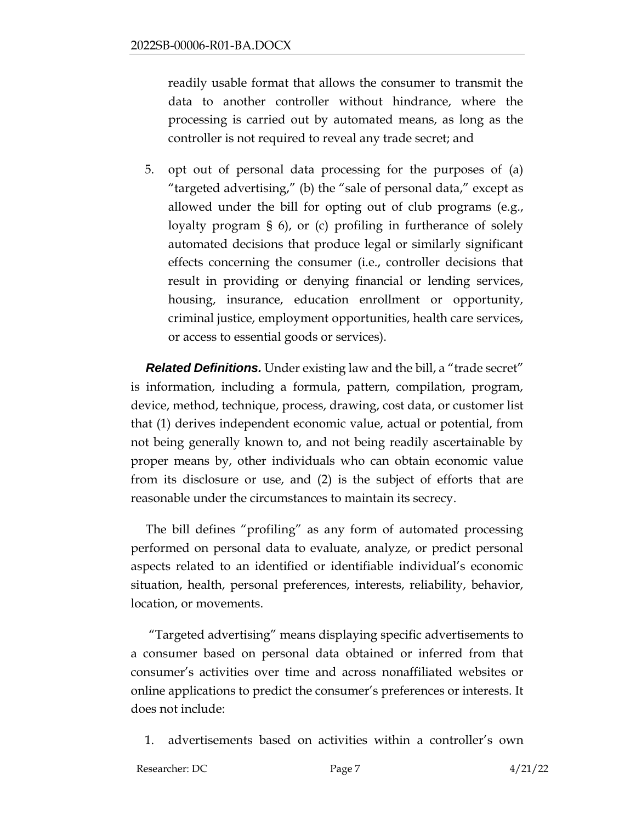readily usable format that allows the consumer to transmit the data to another controller without hindrance, where the processing is carried out by automated means, as long as the controller is not required to reveal any trade secret; and

5. opt out of personal data processing for the purposes of (a) "targeted advertising," (b) the "sale of personal data," except as allowed under the bill for opting out of club programs (e.g., loyalty program § 6), or (c) profiling in furtherance of solely automated decisions that produce legal or similarly significant effects concerning the consumer (i.e., controller decisions that result in providing or denying financial or lending services, housing, insurance, education enrollment or opportunity, criminal justice, employment opportunities, health care services, or access to essential goods or services).

*Related Definitions.* Under existing law and the bill, a "trade secret" is information, including a formula, pattern, compilation, program, device, method, technique, process, drawing, cost data, or customer list that (1) derives independent economic value, actual or potential, from not being generally known to, and not being readily ascertainable by proper means by, other individuals who can obtain economic value from its disclosure or use, and (2) is the subject of efforts that are reasonable under the circumstances to maintain its secrecy.

The bill defines "profiling" as any form of automated processing performed on personal data to evaluate, analyze, or predict personal aspects related to an identified or identifiable individual's economic situation, health, personal preferences, interests, reliability, behavior, location, or movements.

"Targeted advertising" means displaying specific advertisements to a consumer based on personal data obtained or inferred from that consumer's activities over time and across nonaffiliated websites or online applications to predict the consumer's preferences or interests. It does not include:

1. advertisements based on activities within a controller's own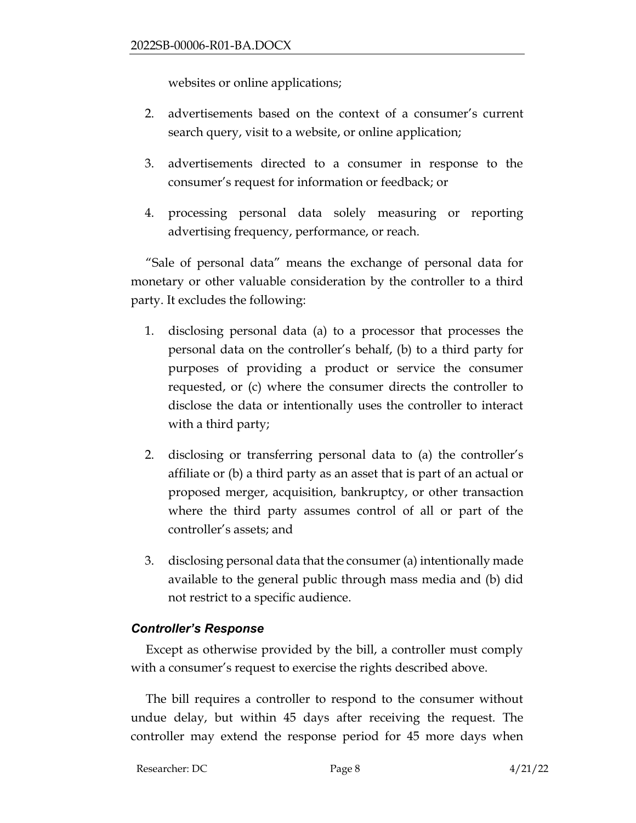websites or online applications;

- 2. advertisements based on the context of a consumer's current search query, visit to a website, or online application;
- 3. advertisements directed to a consumer in response to the consumer's request for information or feedback; or
- 4. processing personal data solely measuring or reporting advertising frequency, performance, or reach.

"Sale of personal data" means the exchange of personal data for monetary or other valuable consideration by the controller to a third party. It excludes the following:

- 1. disclosing personal data (a) to a processor that processes the personal data on the controller's behalf, (b) to a third party for purposes of providing a product or service the consumer requested, or (c) where the consumer directs the controller to disclose the data or intentionally uses the controller to interact with a third party;
- 2. disclosing or transferring personal data to (a) the controller's affiliate or (b) a third party as an asset that is part of an actual or proposed merger, acquisition, bankruptcy, or other transaction where the third party assumes control of all or part of the controller's assets; and
- 3. disclosing personal data that the consumer (a) intentionally made available to the general public through mass media and (b) did not restrict to a specific audience.

## *Controller's Response*

Except as otherwise provided by the bill, a controller must comply with a consumer's request to exercise the rights described above.

The bill requires a controller to respond to the consumer without undue delay, but within 45 days after receiving the request. The controller may extend the response period for 45 more days when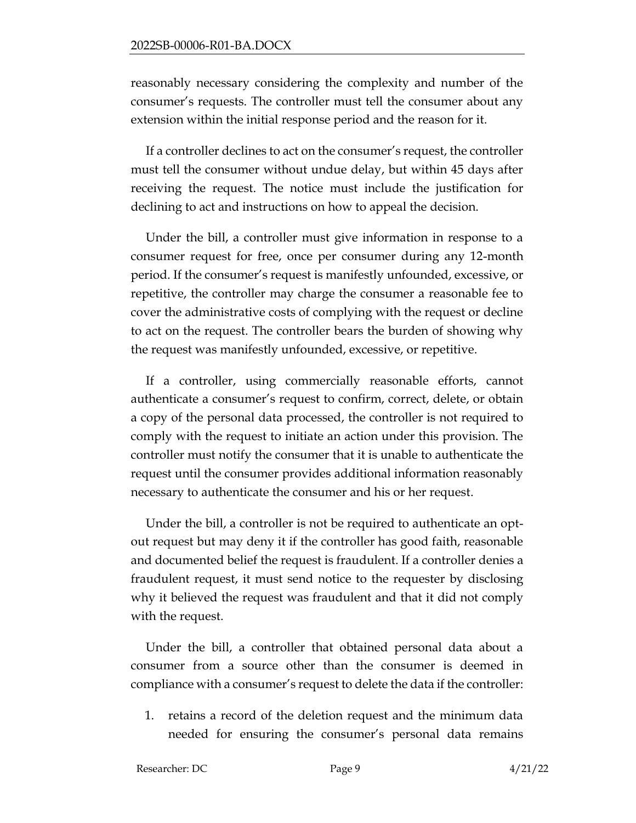reasonably necessary considering the complexity and number of the consumer's requests. The controller must tell the consumer about any extension within the initial response period and the reason for it.

If a controller declines to act on the consumer's request, the controller must tell the consumer without undue delay, but within 45 days after receiving the request. The notice must include the justification for declining to act and instructions on how to appeal the decision.

Under the bill, a controller must give information in response to a consumer request for free, once per consumer during any 12-month period. If the consumer's request is manifestly unfounded, excessive, or repetitive, the controller may charge the consumer a reasonable fee to cover the administrative costs of complying with the request or decline to act on the request. The controller bears the burden of showing why the request was manifestly unfounded, excessive, or repetitive.

If a controller, using commercially reasonable efforts, cannot authenticate a consumer's request to confirm, correct, delete, or obtain a copy of the personal data processed, the controller is not required to comply with the request to initiate an action under this provision. The controller must notify the consumer that it is unable to authenticate the request until the consumer provides additional information reasonably necessary to authenticate the consumer and his or her request.

Under the bill, a controller is not be required to authenticate an optout request but may deny it if the controller has good faith, reasonable and documented belief the request is fraudulent. If a controller denies a fraudulent request, it must send notice to the requester by disclosing why it believed the request was fraudulent and that it did not comply with the request.

Under the bill, a controller that obtained personal data about a consumer from a source other than the consumer is deemed in compliance with a consumer's request to delete the data if the controller:

1. retains a record of the deletion request and the minimum data needed for ensuring the consumer's personal data remains

Researcher: DC Page 9 4/21/22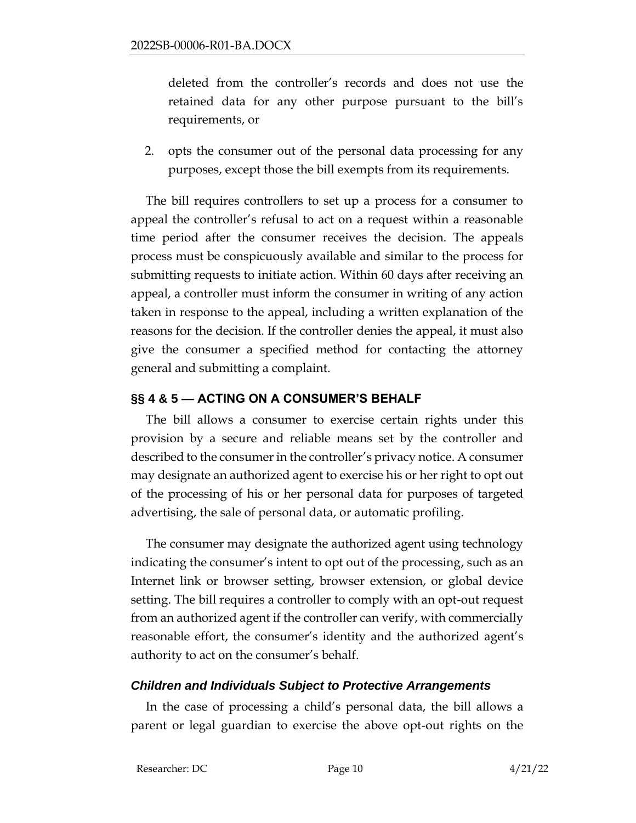deleted from the controller's records and does not use the retained data for any other purpose pursuant to the bill's requirements, or

2. opts the consumer out of the personal data processing for any purposes, except those the bill exempts from its requirements.

The bill requires controllers to set up a process for a consumer to appeal the controller's refusal to act on a request within a reasonable time period after the consumer receives the decision. The appeals process must be conspicuously available and similar to the process for submitting requests to initiate action. Within 60 days after receiving an appeal, a controller must inform the consumer in writing of any action taken in response to the appeal, including a written explanation of the reasons for the decision. If the controller denies the appeal, it must also give the consumer a specified method for contacting the attorney general and submitting a complaint.

### **§§ 4 & 5 — ACTING ON A CONSUMER'S BEHALF**

The bill allows a consumer to exercise certain rights under this provision by a secure and reliable means set by the controller and described to the consumer in the controller's privacy notice. A consumer may designate an authorized agent to exercise his or her right to opt out of the processing of his or her personal data for purposes of targeted advertising, the sale of personal data, or automatic profiling.

The consumer may designate the authorized agent using technology indicating the consumer's intent to opt out of the processing, such as an Internet link or browser setting, browser extension, or global device setting. The bill requires a controller to comply with an opt-out request from an authorized agent if the controller can verify, with commercially reasonable effort, the consumer's identity and the authorized agent's authority to act on the consumer's behalf.

### *Children and Individuals Subject to Protective Arrangements*

In the case of processing a child's personal data, the bill allows a parent or legal guardian to exercise the above opt-out rights on the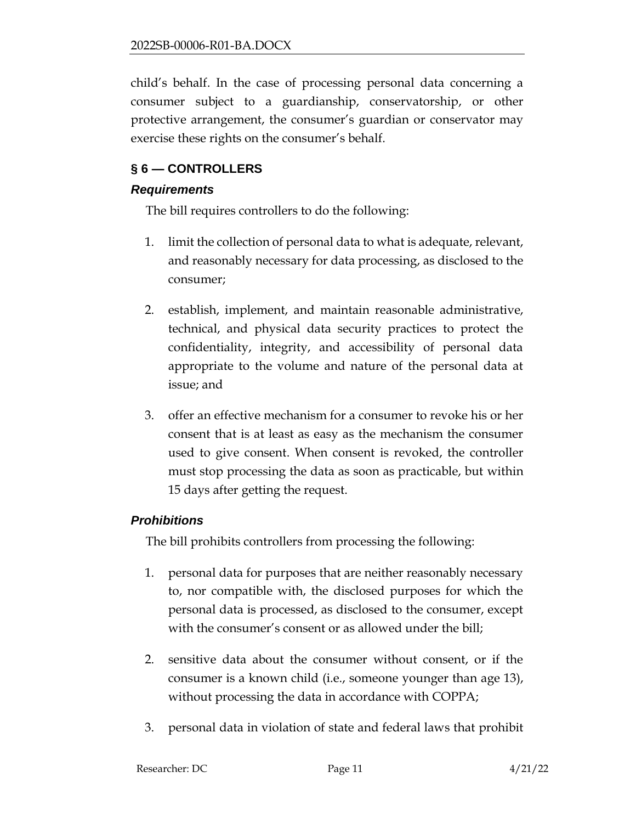child's behalf. In the case of processing personal data concerning a consumer subject to a guardianship, conservatorship, or other protective arrangement, the consumer's guardian or conservator may exercise these rights on the consumer's behalf.

# **§ 6 — CONTROLLERS**

### *Requirements*

The bill requires controllers to do the following:

- 1. limit the collection of personal data to what is adequate, relevant, and reasonably necessary for data processing, as disclosed to the consumer;
- 2. establish, implement, and maintain reasonable administrative, technical, and physical data security practices to protect the confidentiality, integrity, and accessibility of personal data appropriate to the volume and nature of the personal data at issue; and
- 3. offer an effective mechanism for a consumer to revoke his or her consent that is at least as easy as the mechanism the consumer used to give consent. When consent is revoked, the controller must stop processing the data as soon as practicable, but within 15 days after getting the request.

### *Prohibitions*

The bill prohibits controllers from processing the following:

- 1. personal data for purposes that are neither reasonably necessary to, nor compatible with, the disclosed purposes for which the personal data is processed, as disclosed to the consumer, except with the consumer's consent or as allowed under the bill;
- 2. sensitive data about the consumer without consent, or if the consumer is a known child (i.e., someone younger than age 13), without processing the data in accordance with COPPA;
- 3. personal data in violation of state and federal laws that prohibit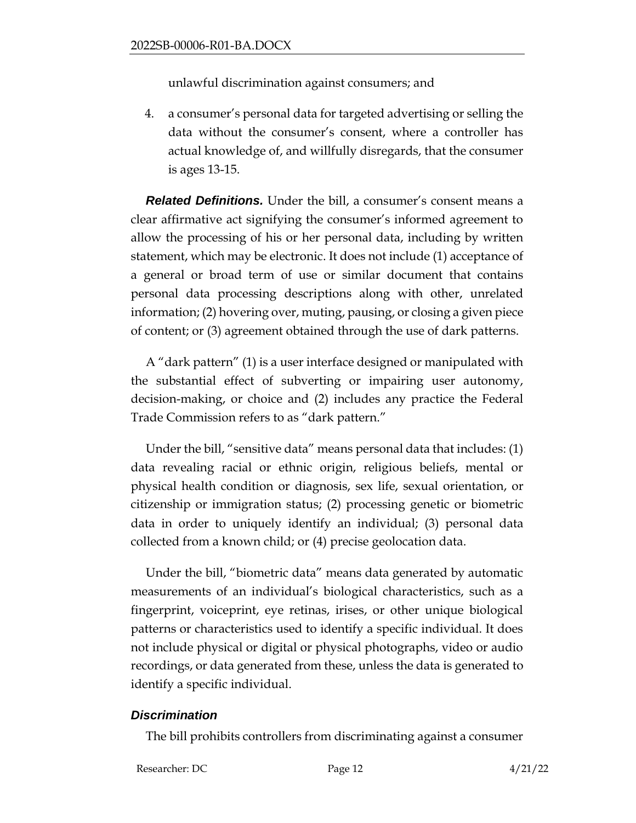unlawful discrimination against consumers; and

4. a consumer's personal data for targeted advertising or selling the data without the consumer's consent, where a controller has actual knowledge of, and willfully disregards, that the consumer is ages 13-15.

*Related Definitions.* Under the bill, a consumer's consent means a clear affirmative act signifying the consumer's informed agreement to allow the processing of his or her personal data, including by written statement, which may be electronic. It does not include (1) acceptance of a general or broad term of use or similar document that contains personal data processing descriptions along with other, unrelated information; (2) hovering over, muting, pausing, or closing a given piece of content; or (3) agreement obtained through the use of dark patterns.

A "dark pattern" (1) is a user interface designed or manipulated with the substantial effect of subverting or impairing user autonomy, decision-making, or choice and (2) includes any practice the Federal Trade Commission refers to as "dark pattern."

Under the bill, "sensitive data" means personal data that includes: (1) data revealing racial or ethnic origin, religious beliefs, mental or physical health condition or diagnosis, sex life, sexual orientation, or citizenship or immigration status; (2) processing genetic or biometric data in order to uniquely identify an individual; (3) personal data collected from a known child; or (4) precise geolocation data.

Under the bill, "biometric data" means data generated by automatic measurements of an individual's biological characteristics, such as a fingerprint, voiceprint, eye retinas, irises, or other unique biological patterns or characteristics used to identify a specific individual. It does not include physical or digital or physical photographs, video or audio recordings, or data generated from these, unless the data is generated to identify a specific individual.

#### *Discrimination*

The bill prohibits controllers from discriminating against a consumer

Researcher: DC Page 12 4/21/22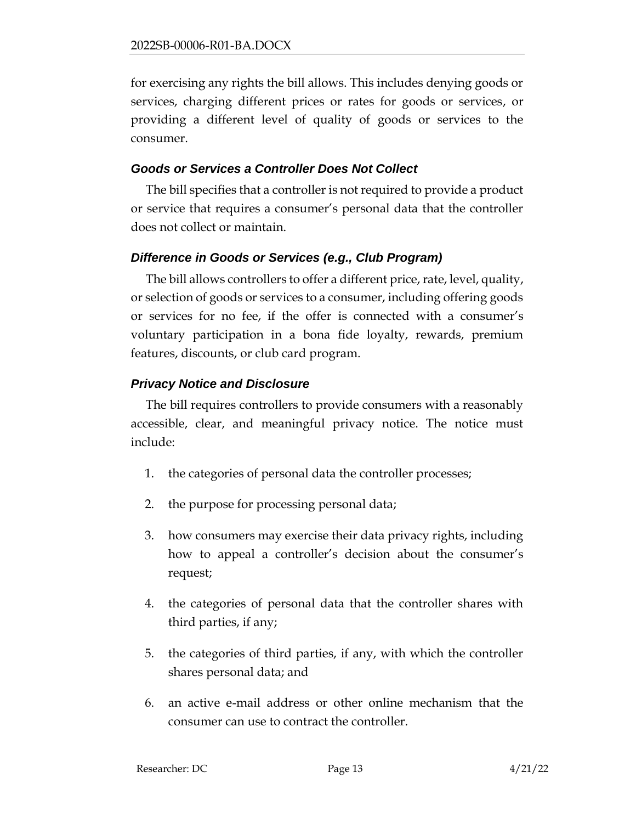for exercising any rights the bill allows. This includes denying goods or services, charging different prices or rates for goods or services, or providing a different level of quality of goods or services to the consumer.

### *Goods or Services a Controller Does Not Collect*

The bill specifies that a controller is not required to provide a product or service that requires a consumer's personal data that the controller does not collect or maintain.

### *Difference in Goods or Services (e.g., Club Program)*

The bill allows controllers to offer a different price, rate, level, quality, or selection of goods or services to a consumer, including offering goods or services for no fee, if the offer is connected with a consumer's voluntary participation in a bona fide loyalty, rewards, premium features, discounts, or club card program.

### *Privacy Notice and Disclosure*

The bill requires controllers to provide consumers with a reasonably accessible, clear, and meaningful privacy notice. The notice must include:

- 1. the categories of personal data the controller processes;
- 2. the purpose for processing personal data;
- 3. how consumers may exercise their data privacy rights, including how to appeal a controller's decision about the consumer's request;
- 4. the categories of personal data that the controller shares with third parties, if any;
- 5. the categories of third parties, if any, with which the controller shares personal data; and
- 6. an active e-mail address or other online mechanism that the consumer can use to contract the controller.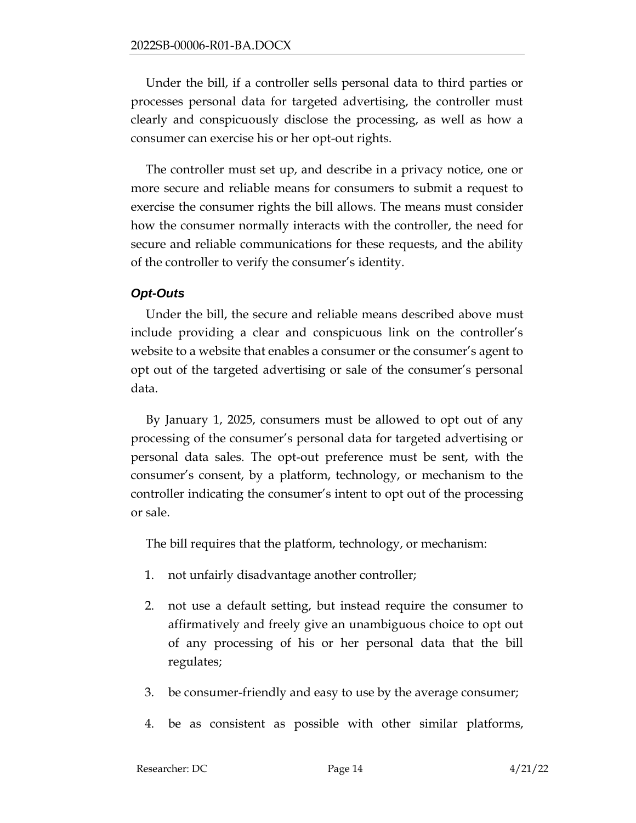Under the bill, if a controller sells personal data to third parties or processes personal data for targeted advertising, the controller must clearly and conspicuously disclose the processing, as well as how a consumer can exercise his or her opt-out rights.

The controller must set up, and describe in a privacy notice, one or more secure and reliable means for consumers to submit a request to exercise the consumer rights the bill allows. The means must consider how the consumer normally interacts with the controller, the need for secure and reliable communications for these requests, and the ability of the controller to verify the consumer's identity.

### *Opt-Outs*

Under the bill, the secure and reliable means described above must include providing a clear and conspicuous link on the controller's website to a website that enables a consumer or the consumer's agent to opt out of the targeted advertising or sale of the consumer's personal data.

By January 1, 2025, consumers must be allowed to opt out of any processing of the consumer's personal data for targeted advertising or personal data sales. The opt-out preference must be sent, with the consumer's consent, by a platform, technology, or mechanism to the controller indicating the consumer's intent to opt out of the processing or sale.

The bill requires that the platform, technology, or mechanism:

- 1. not unfairly disadvantage another controller;
- 2. not use a default setting, but instead require the consumer to affirmatively and freely give an unambiguous choice to opt out of any processing of his or her personal data that the bill regulates;
- 3. be consumer-friendly and easy to use by the average consumer;
- 4. be as consistent as possible with other similar platforms,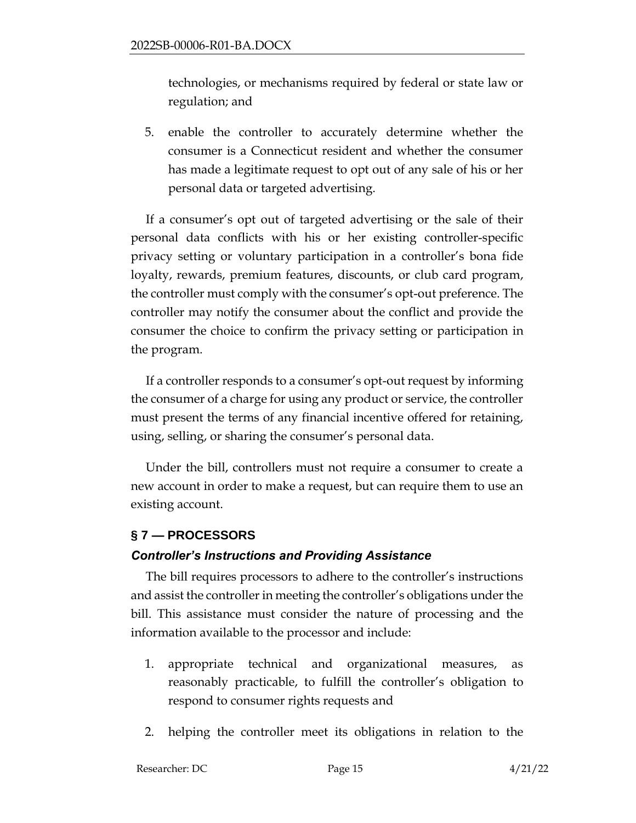technologies, or mechanisms required by federal or state law or regulation; and

5. enable the controller to accurately determine whether the consumer is a Connecticut resident and whether the consumer has made a legitimate request to opt out of any sale of his or her personal data or targeted advertising.

If a consumer's opt out of targeted advertising or the sale of their personal data conflicts with his or her existing controller-specific privacy setting or voluntary participation in a controller's bona fide loyalty, rewards, premium features, discounts, or club card program, the controller must comply with the consumer's opt-out preference. The controller may notify the consumer about the conflict and provide the consumer the choice to confirm the privacy setting or participation in the program.

If a controller responds to a consumer's opt-out request by informing the consumer of a charge for using any product or service, the controller must present the terms of any financial incentive offered for retaining, using, selling, or sharing the consumer's personal data.

Under the bill, controllers must not require a consumer to create a new account in order to make a request, but can require them to use an existing account.

# **§ 7 — PROCESSORS**

### *Controller's Instructions and Providing Assistance*

The bill requires processors to adhere to the controller's instructions and assist the controller in meeting the controller's obligations under the bill. This assistance must consider the nature of processing and the information available to the processor and include:

- 1. appropriate technical and organizational measures, as reasonably practicable, to fulfill the controller's obligation to respond to consumer rights requests and
- 2. helping the controller meet its obligations in relation to the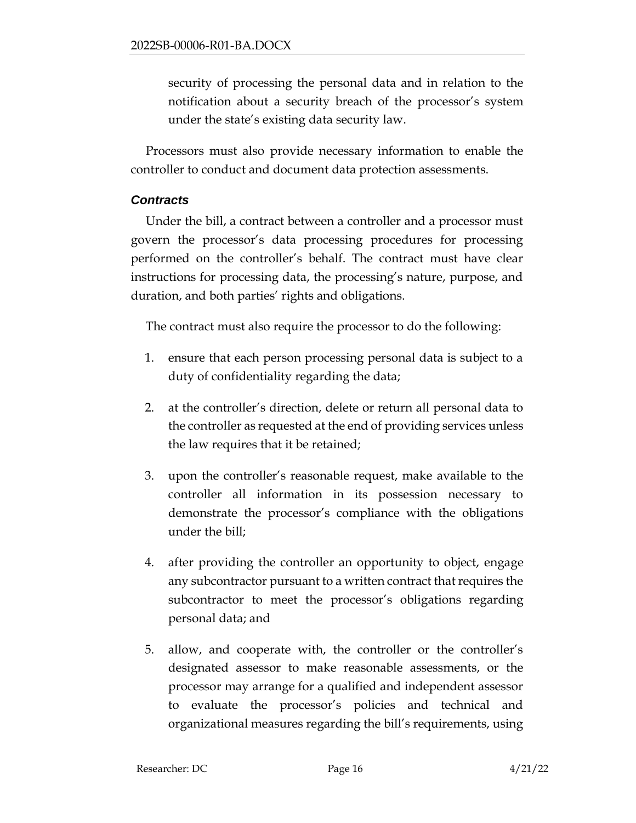security of processing the personal data and in relation to the notification about a security breach of the processor's system under the state's existing data security law.

Processors must also provide necessary information to enable the controller to conduct and document data protection assessments.

### *Contracts*

Under the bill, a contract between a controller and a processor must govern the processor's data processing procedures for processing performed on the controller's behalf. The contract must have clear instructions for processing data, the processing's nature, purpose, and duration, and both parties' rights and obligations.

The contract must also require the processor to do the following:

- 1. ensure that each person processing personal data is subject to a duty of confidentiality regarding the data;
- 2. at the controller's direction, delete or return all personal data to the controller as requested at the end of providing services unless the law requires that it be retained;
- 3. upon the controller's reasonable request, make available to the controller all information in its possession necessary to demonstrate the processor's compliance with the obligations under the bill;
- 4. after providing the controller an opportunity to object, engage any subcontractor pursuant to a written contract that requires the subcontractor to meet the processor's obligations regarding personal data; and
- 5. allow, and cooperate with, the controller or the controller's designated assessor to make reasonable assessments, or the processor may arrange for a qualified and independent assessor to evaluate the processor's policies and technical and organizational measures regarding the bill's requirements, using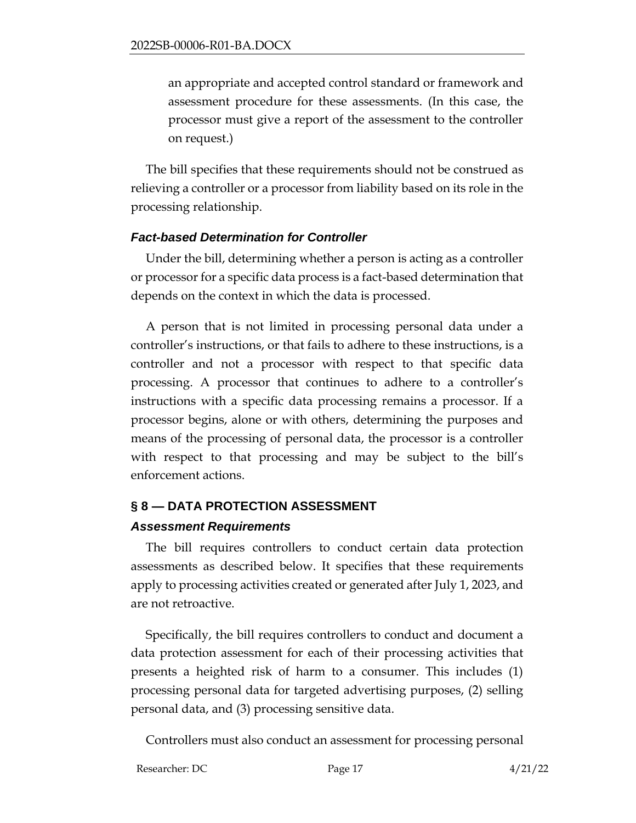an appropriate and accepted control standard or framework and assessment procedure for these assessments. (In this case, the processor must give a report of the assessment to the controller on request.)

The bill specifies that these requirements should not be construed as relieving a controller or a processor from liability based on its role in the processing relationship.

### *Fact-based Determination for Controller*

Under the bill, determining whether a person is acting as a controller or processor for a specific data process is a fact-based determination that depends on the context in which the data is processed.

A person that is not limited in processing personal data under a controller's instructions, or that fails to adhere to these instructions, is a controller and not a processor with respect to that specific data processing. A processor that continues to adhere to a controller's instructions with a specific data processing remains a processor. If a processor begins, alone or with others, determining the purposes and means of the processing of personal data, the processor is a controller with respect to that processing and may be subject to the bill's enforcement actions.

### **§ 8 — DATA PROTECTION ASSESSMENT**

#### *Assessment Requirements*

The bill requires controllers to conduct certain data protection assessments as described below. It specifies that these requirements apply to processing activities created or generated after July 1, 2023, and are not retroactive.

Specifically, the bill requires controllers to conduct and document a data protection assessment for each of their processing activities that presents a heighted risk of harm to a consumer. This includes (1) processing personal data for targeted advertising purposes, (2) selling personal data, and (3) processing sensitive data.

Controllers must also conduct an assessment for processing personal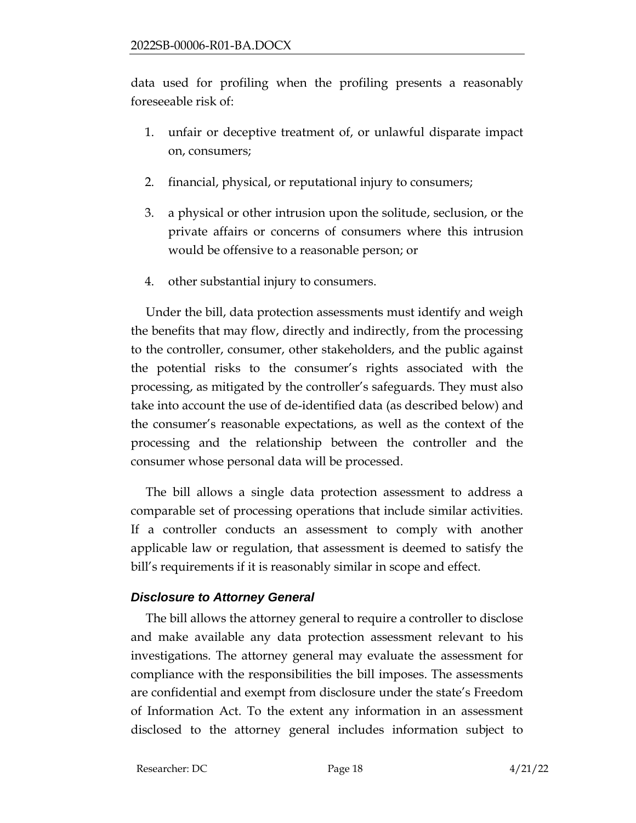data used for profiling when the profiling presents a reasonably foreseeable risk of:

- 1. unfair or deceptive treatment of, or unlawful disparate impact on, consumers;
- 2. financial, physical, or reputational injury to consumers;
- 3. a physical or other intrusion upon the solitude, seclusion, or the private affairs or concerns of consumers where this intrusion would be offensive to a reasonable person; or
- 4. other substantial injury to consumers.

Under the bill, data protection assessments must identify and weigh the benefits that may flow, directly and indirectly, from the processing to the controller, consumer, other stakeholders, and the public against the potential risks to the consumer's rights associated with the processing, as mitigated by the controller's safeguards. They must also take into account the use of de-identified data (as described below) and the consumer's reasonable expectations, as well as the context of the processing and the relationship between the controller and the consumer whose personal data will be processed.

The bill allows a single data protection assessment to address a comparable set of processing operations that include similar activities. If a controller conducts an assessment to comply with another applicable law or regulation, that assessment is deemed to satisfy the bill's requirements if it is reasonably similar in scope and effect.

### *Disclosure to Attorney General*

The bill allows the attorney general to require a controller to disclose and make available any data protection assessment relevant to his investigations. The attorney general may evaluate the assessment for compliance with the responsibilities the bill imposes. The assessments are confidential and exempt from disclosure under the state's Freedom of Information Act. To the extent any information in an assessment disclosed to the attorney general includes information subject to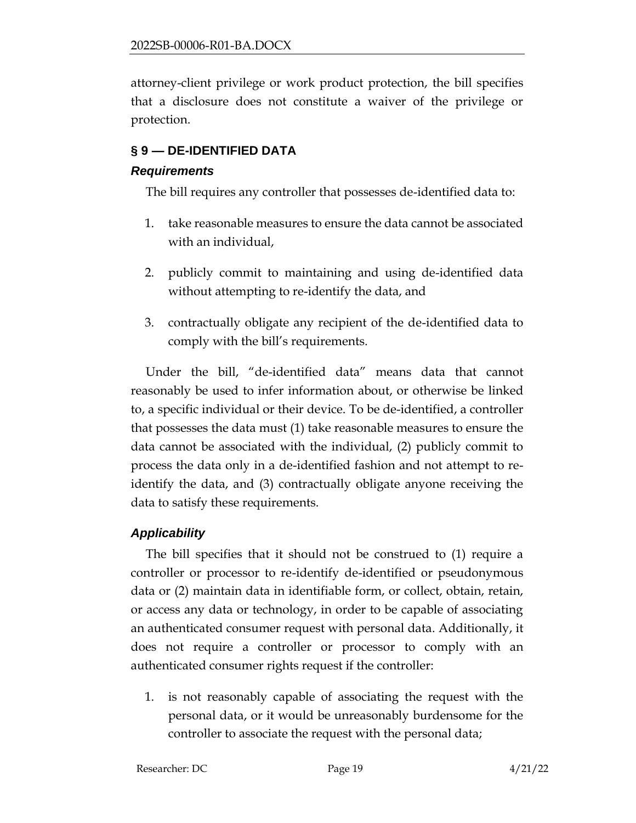attorney-client privilege or work product protection, the bill specifies that a disclosure does not constitute a waiver of the privilege or protection.

# **§ 9 — DE-IDENTIFIED DATA**

## *Requirements*

The bill requires any controller that possesses de-identified data to:

- 1. take reasonable measures to ensure the data cannot be associated with an individual,
- 2. publicly commit to maintaining and using de-identified data without attempting to re-identify the data, and
- 3. contractually obligate any recipient of the de-identified data to comply with the bill's requirements.

Under the bill, "de-identified data" means data that cannot reasonably be used to infer information about, or otherwise be linked to, a specific individual or their device. To be de-identified, a controller that possesses the data must (1) take reasonable measures to ensure the data cannot be associated with the individual, (2) publicly commit to process the data only in a de-identified fashion and not attempt to reidentify the data, and (3) contractually obligate anyone receiving the data to satisfy these requirements.

# *Applicability*

The bill specifies that it should not be construed to (1) require a controller or processor to re-identify de-identified or pseudonymous data or (2) maintain data in identifiable form, or collect, obtain, retain, or access any data or technology, in order to be capable of associating an authenticated consumer request with personal data. Additionally, it does not require a controller or processor to comply with an authenticated consumer rights request if the controller:

1. is not reasonably capable of associating the request with the personal data, or it would be unreasonably burdensome for the controller to associate the request with the personal data;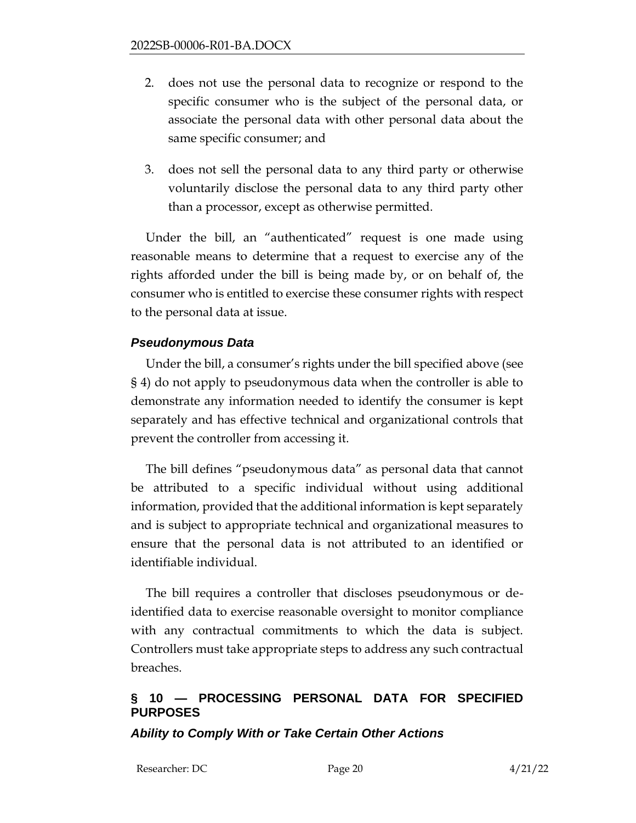- 2. does not use the personal data to recognize or respond to the specific consumer who is the subject of the personal data, or associate the personal data with other personal data about the same specific consumer; and
- 3. does not sell the personal data to any third party or otherwise voluntarily disclose the personal data to any third party other than a processor, except as otherwise permitted.

Under the bill, an "authenticated" request is one made using reasonable means to determine that a request to exercise any of the rights afforded under the bill is being made by, or on behalf of, the consumer who is entitled to exercise these consumer rights with respect to the personal data at issue.

## *Pseudonymous Data*

Under the bill, a consumer's rights under the bill specified above (see § 4) do not apply to pseudonymous data when the controller is able to demonstrate any information needed to identify the consumer is kept separately and has effective technical and organizational controls that prevent the controller from accessing it.

The bill defines "pseudonymous data" as personal data that cannot be attributed to a specific individual without using additional information, provided that the additional information is kept separately and is subject to appropriate technical and organizational measures to ensure that the personal data is not attributed to an identified or identifiable individual.

The bill requires a controller that discloses pseudonymous or deidentified data to exercise reasonable oversight to monitor compliance with any contractual commitments to which the data is subject. Controllers must take appropriate steps to address any such contractual breaches.

## **§ 10 — PROCESSING PERSONAL DATA FOR SPECIFIED PURPOSES**

*Ability to Comply With or Take Certain Other Actions*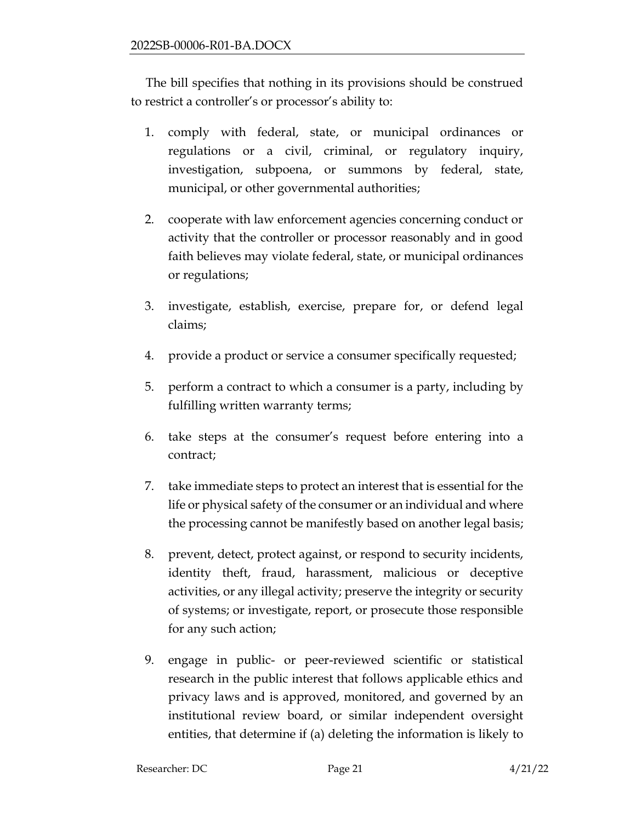The bill specifies that nothing in its provisions should be construed to restrict a controller's or processor's ability to:

- 1. comply with federal, state, or municipal ordinances or regulations or a civil, criminal, or regulatory inquiry, investigation, subpoena, or summons by federal, state, municipal, or other governmental authorities;
- 2. cooperate with law enforcement agencies concerning conduct or activity that the controller or processor reasonably and in good faith believes may violate federal, state, or municipal ordinances or regulations;
- 3. investigate, establish, exercise, prepare for, or defend legal claims;
- 4. provide a product or service a consumer specifically requested;
- 5. perform a contract to which a consumer is a party, including by fulfilling written warranty terms;
- 6. take steps at the consumer's request before entering into a contract;
- 7. take immediate steps to protect an interest that is essential for the life or physical safety of the consumer or an individual and where the processing cannot be manifestly based on another legal basis;
- 8. prevent, detect, protect against, or respond to security incidents, identity theft, fraud, harassment, malicious or deceptive activities, or any illegal activity; preserve the integrity or security of systems; or investigate, report, or prosecute those responsible for any such action;
- 9. engage in public- or peer-reviewed scientific or statistical research in the public interest that follows applicable ethics and privacy laws and is approved, monitored, and governed by an institutional review board, or similar independent oversight entities, that determine if (a) deleting the information is likely to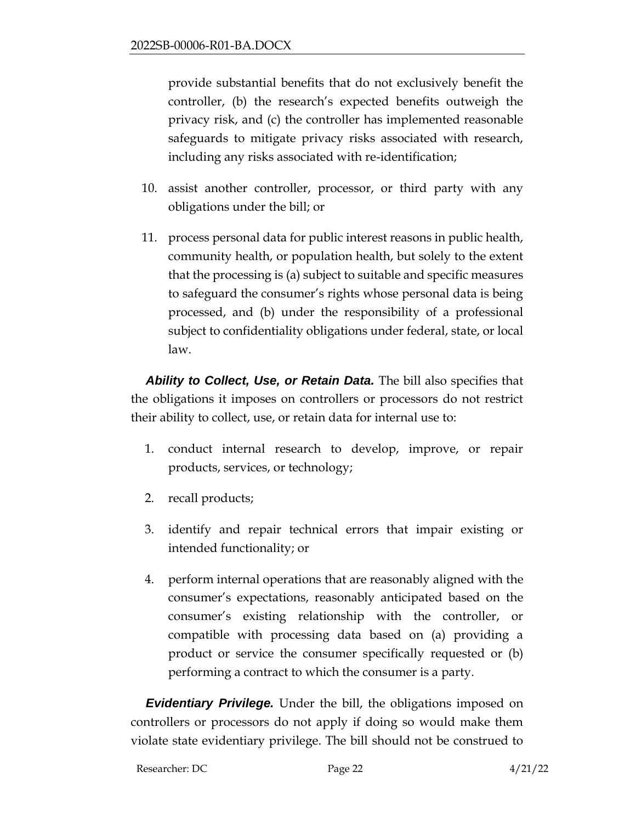provide substantial benefits that do not exclusively benefit the controller, (b) the research's expected benefits outweigh the privacy risk, and (c) the controller has implemented reasonable safeguards to mitigate privacy risks associated with research, including any risks associated with re-identification;

- 10. assist another controller, processor, or third party with any obligations under the bill; or
- 11. process personal data for public interest reasons in public health, community health, or population health, but solely to the extent that the processing is (a) subject to suitable and specific measures to safeguard the consumer's rights whose personal data is being processed, and (b) under the responsibility of a professional subject to confidentiality obligations under federal, state, or local law.

*Ability to Collect, Use, or Retain Data.* The bill also specifies that the obligations it imposes on controllers or processors do not restrict their ability to collect, use, or retain data for internal use to:

- 1. conduct internal research to develop, improve, or repair products, services, or technology;
- 2. recall products;
- 3. identify and repair technical errors that impair existing or intended functionality; or
- 4. perform internal operations that are reasonably aligned with the consumer's expectations, reasonably anticipated based on the consumer's existing relationship with the controller, or compatible with processing data based on (a) providing a product or service the consumer specifically requested or (b) performing a contract to which the consumer is a party.

*Evidentiary Privilege.* Under the bill, the obligations imposed on controllers or processors do not apply if doing so would make them violate state evidentiary privilege. The bill should not be construed to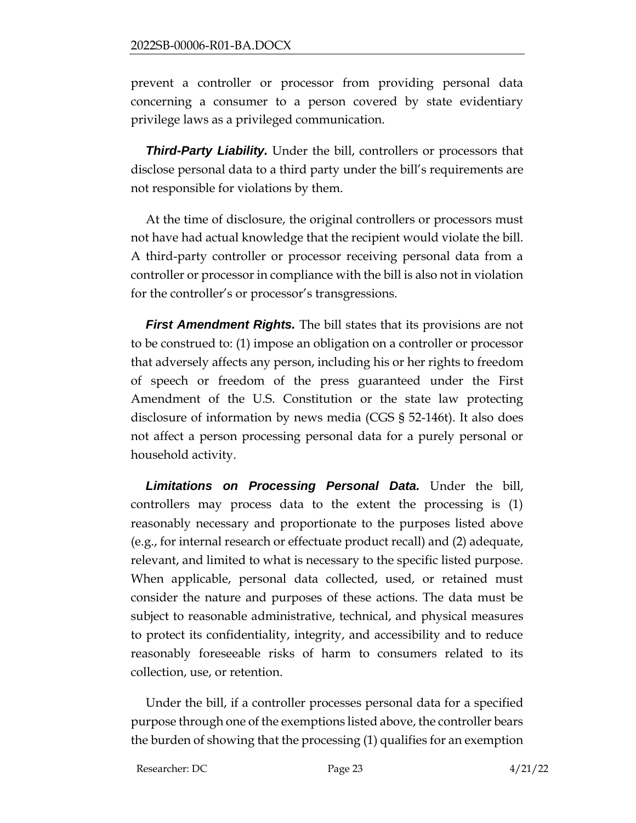prevent a controller or processor from providing personal data concerning a consumer to a person covered by state evidentiary privilege laws as a privileged communication.

**Third-Party Liability.** Under the bill, controllers or processors that disclose personal data to a third party under the bill's requirements are not responsible for violations by them.

At the time of disclosure, the original controllers or processors must not have had actual knowledge that the recipient would violate the bill. A third-party controller or processor receiving personal data from a controller or processor in compliance with the bill is also not in violation for the controller's or processor's transgressions.

*First Amendment Rights.* The bill states that its provisions are not to be construed to: (1) impose an obligation on a controller or processor that adversely affects any person, including his or her rights to freedom of speech or freedom of the press guaranteed under the First Amendment of the U.S. Constitution or the state law protecting disclosure of information by news media (CGS § 52-146t). It also does not affect a person processing personal data for a purely personal or household activity.

*Limitations on Processing Personal Data.* Under the bill, controllers may process data to the extent the processing is (1) reasonably necessary and proportionate to the purposes listed above (e.g., for internal research or effectuate product recall) and (2) adequate, relevant, and limited to what is necessary to the specific listed purpose. When applicable, personal data collected, used, or retained must consider the nature and purposes of these actions. The data must be subject to reasonable administrative, technical, and physical measures to protect its confidentiality, integrity, and accessibility and to reduce reasonably foreseeable risks of harm to consumers related to its collection, use, or retention.

Under the bill, if a controller processes personal data for a specified purpose through one of the exemptions listed above, the controller bears the burden of showing that the processing (1) qualifies for an exemption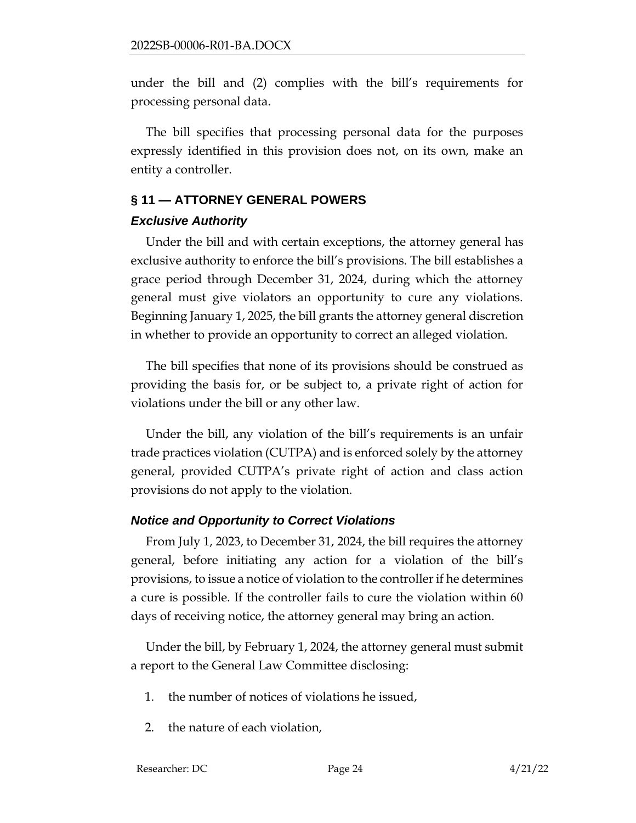under the bill and (2) complies with the bill's requirements for processing personal data.

The bill specifies that processing personal data for the purposes expressly identified in this provision does not, on its own, make an entity a controller.

# **§ 11 — ATTORNEY GENERAL POWERS**

### *Exclusive Authority*

Under the bill and with certain exceptions, the attorney general has exclusive authority to enforce the bill's provisions. The bill establishes a grace period through December 31, 2024, during which the attorney general must give violators an opportunity to cure any violations. Beginning January 1, 2025, the bill grants the attorney general discretion in whether to provide an opportunity to correct an alleged violation.

The bill specifies that none of its provisions should be construed as providing the basis for, or be subject to, a private right of action for violations under the bill or any other law.

Under the bill, any violation of the bill's requirements is an unfair trade practices violation (CUTPA) and is enforced solely by the attorney general, provided CUTPA's private right of action and class action provisions do not apply to the violation.

### *Notice and Opportunity to Correct Violations*

From July 1, 2023, to December 31, 2024, the bill requires the attorney general, before initiating any action for a violation of the bill's provisions, to issue a notice of violation to the controller if he determines a cure is possible. If the controller fails to cure the violation within 60 days of receiving notice, the attorney general may bring an action.

Under the bill, by February 1, 2024, the attorney general must submit a report to the General Law Committee disclosing:

- 1. the number of notices of violations he issued,
- 2. the nature of each violation,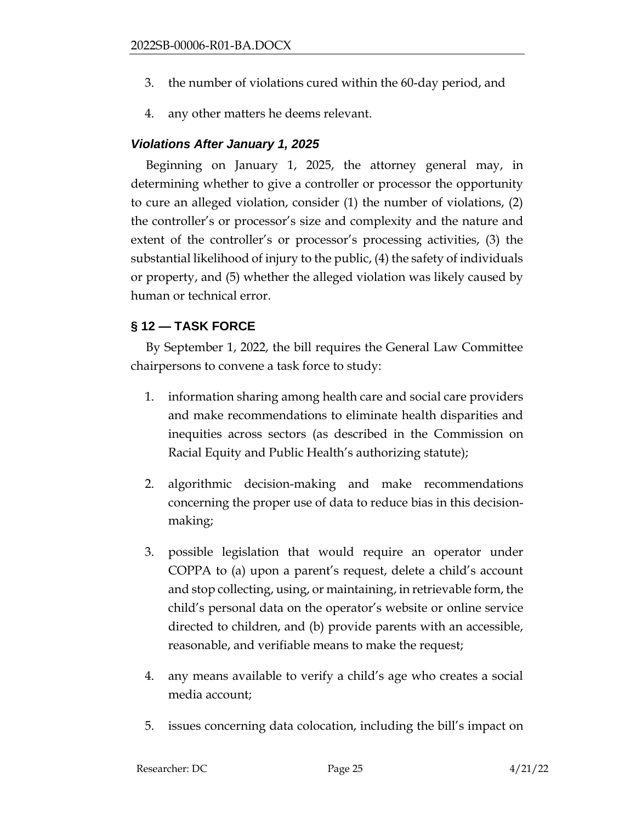- 3. the number of violations cured within the 60-day period, and
- 4. any other matters he deems relevant.

### *Violations After January 1, 2025*

Beginning on January 1, 2025, the attorney general may, in determining whether to give a controller or processor the opportunity to cure an alleged violation, consider (1) the number of violations, (2) the controller's or processor's size and complexity and the nature and extent of the controller's or processor's processing activities, (3) the substantial likelihood of injury to the public, (4) the safety of individuals or property, and (5) whether the alleged violation was likely caused by human or technical error.

## **§ 12 — TASK FORCE**

By September 1, 2022, the bill requires the General Law Committee chairpersons to convene a task force to study:

- 1. information sharing among health care and social care providers and make recommendations to eliminate health disparities and inequities across sectors (as described in the Commission on Racial Equity and Public Health's authorizing statute);
- 2. algorithmic decision-making and make recommendations concerning the proper use of data to reduce bias in this decisionmaking;
- 3. possible legislation that would require an operator under COPPA to (a) upon a parent's request, delete a child's account and stop collecting, using, or maintaining, in retrievable form, the child's personal data on the operator's website or online service directed to children, and (b) provide parents with an accessible, reasonable, and verifiable means to make the request;
- 4. any means available to verify a child's age who creates a social media account;
- 5. issues concerning data colocation, including the bill's impact on